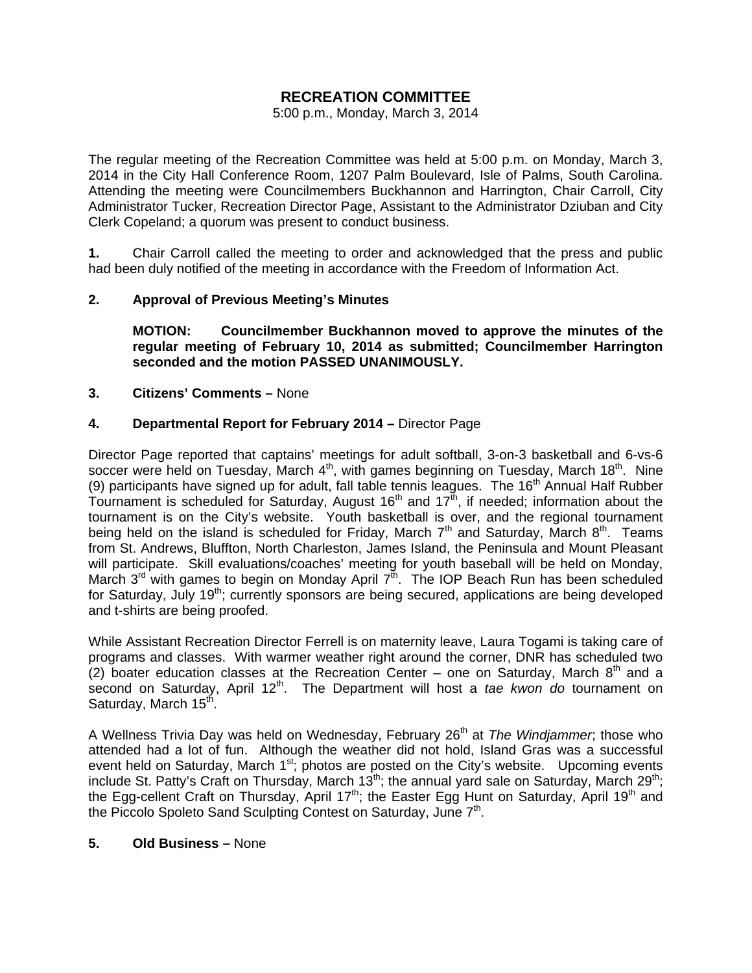# **RECREATION COMMITTEE**

5:00 p.m., Monday, March 3, 2014

The regular meeting of the Recreation Committee was held at 5:00 p.m. on Monday, March 3, 2014 in the City Hall Conference Room, 1207 Palm Boulevard, Isle of Palms, South Carolina. Attending the meeting were Councilmembers Buckhannon and Harrington, Chair Carroll, City Administrator Tucker, Recreation Director Page, Assistant to the Administrator Dziuban and City Clerk Copeland; a quorum was present to conduct business.

**1.** Chair Carroll called the meeting to order and acknowledged that the press and public had been duly notified of the meeting in accordance with the Freedom of Information Act.

# **2. Approval of Previous Meeting's Minutes**

**MOTION: Councilmember Buckhannon moved to approve the minutes of the regular meeting of February 10, 2014 as submitted; Councilmember Harrington seconded and the motion PASSED UNANIMOUSLY.** 

# **3. Citizens' Comments –** None

# **4. Departmental Report for February 2014 –** Director Page

Director Page reported that captains' meetings for adult softball, 3-on-3 basketball and 6-vs-6 soccer were held on Tuesday, March 4<sup>th</sup>, with games beginning on Tuesday, March 18<sup>th</sup>. Nine (9) participants have signed up for adult, fall table tennis leagues. The 16<sup>th</sup> Annual Half Rubber Tournament is scheduled for Saturday, August  $16<sup>th</sup>$  and  $17<sup>th</sup>$ , if needed; information about the tournament is on the City's website. Youth basketball is over, and the regional tournament being held on the island is scheduled for Friday, March  $7<sup>th</sup>$  and Saturday, March  $8<sup>th</sup>$ . Teams from St. Andrews, Bluffton, North Charleston, James Island, the Peninsula and Mount Pleasant will participate. Skill evaluations/coaches' meeting for youth baseball will be held on Monday, March  $3^{rd}$  with games to begin on Monday April  $7^{th}$ . The IOP Beach Run has been scheduled for Saturday, July 19<sup>th</sup>; currently sponsors are being secured, applications are being developed and t-shirts are being proofed.

While Assistant Recreation Director Ferrell is on maternity leave, Laura Togami is taking care of programs and classes. With warmer weather right around the corner, DNR has scheduled two (2) boater education classes at the Recreation Center – one on Saturday, March  $8<sup>th</sup>$  and a second on Saturday, April 12<sup>th</sup>. The Department will host a *tae kwon do* tournament on Saturday, March 15<sup>th</sup>.

A Wellness Trivia Day was held on Wednesday, February 26<sup>th</sup> at *The Windjammer*; those who attended had a lot of fun. Although the weather did not hold, Island Gras was a successful event held on Saturday, March  $1^{st}$ ; photos are posted on the City's website. Upcoming events include St. Patty's Craft on Thursday, March 13<sup>th</sup>; the annual yard sale on Saturday, March 29<sup>th</sup>; the Egg-cellent Craft on Thursday, April 17<sup>th</sup>; the Easter Egg Hunt on Saturday, April 19<sup>th</sup> and the Piccolo Spoleto Sand Sculpting Contest on Saturday, June 7<sup>th</sup>.

# **5. Old Business –** None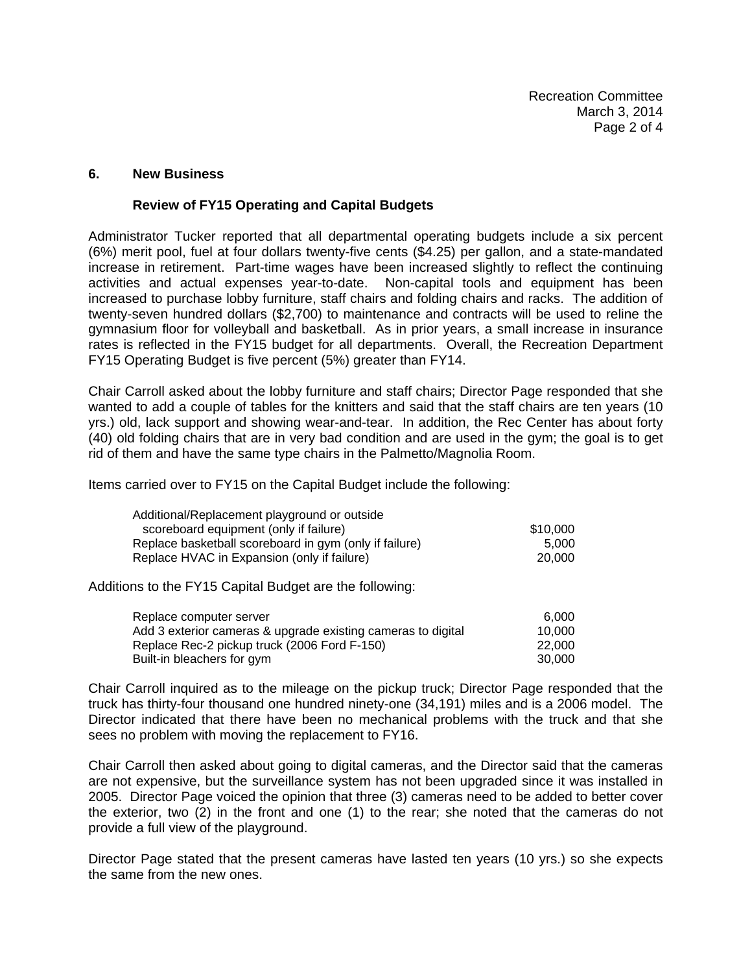#### **6. New Business**

#### **Review of FY15 Operating and Capital Budgets**

Administrator Tucker reported that all departmental operating budgets include a six percent (6%) merit pool, fuel at four dollars twenty-five cents (\$4.25) per gallon, and a state-mandated increase in retirement. Part-time wages have been increased slightly to reflect the continuing activities and actual expenses year-to-date. Non-capital tools and equipment has been increased to purchase lobby furniture, staff chairs and folding chairs and racks. The addition of twenty-seven hundred dollars (\$2,700) to maintenance and contracts will be used to reline the gymnasium floor for volleyball and basketball. As in prior years, a small increase in insurance rates is reflected in the FY15 budget for all departments. Overall, the Recreation Department FY15 Operating Budget is five percent (5%) greater than FY14.

Chair Carroll asked about the lobby furniture and staff chairs; Director Page responded that she wanted to add a couple of tables for the knitters and said that the staff chairs are ten years (10 yrs.) old, lack support and showing wear-and-tear. In addition, the Rec Center has about forty (40) old folding chairs that are in very bad condition and are used in the gym; the goal is to get rid of them and have the same type chairs in the Palmetto/Magnolia Room.

Items carried over to FY15 on the Capital Budget include the following:

| Additional/Replacement playground or outside           |          |
|--------------------------------------------------------|----------|
| scoreboard equipment (only if failure)                 | \$10,000 |
| Replace basketball scoreboard in gym (only if failure) | 5.000    |
| Replace HVAC in Expansion (only if failure)            | 20.000   |

Additions to the FY15 Capital Budget are the following:

| Replace computer server                                      | 6.000  |
|--------------------------------------------------------------|--------|
| Add 3 exterior cameras & upgrade existing cameras to digital | 10.000 |
| Replace Rec-2 pickup truck (2006 Ford F-150)                 | 22,000 |
| Built-in bleachers for gym                                   | 30,000 |

Chair Carroll inquired as to the mileage on the pickup truck; Director Page responded that the truck has thirty-four thousand one hundred ninety-one (34,191) miles and is a 2006 model. The Director indicated that there have been no mechanical problems with the truck and that she sees no problem with moving the replacement to FY16.

Chair Carroll then asked about going to digital cameras, and the Director said that the cameras are not expensive, but the surveillance system has not been upgraded since it was installed in 2005. Director Page voiced the opinion that three (3) cameras need to be added to better cover the exterior, two (2) in the front and one (1) to the rear; she noted that the cameras do not provide a full view of the playground.

Director Page stated that the present cameras have lasted ten years (10 yrs.) so she expects the same from the new ones.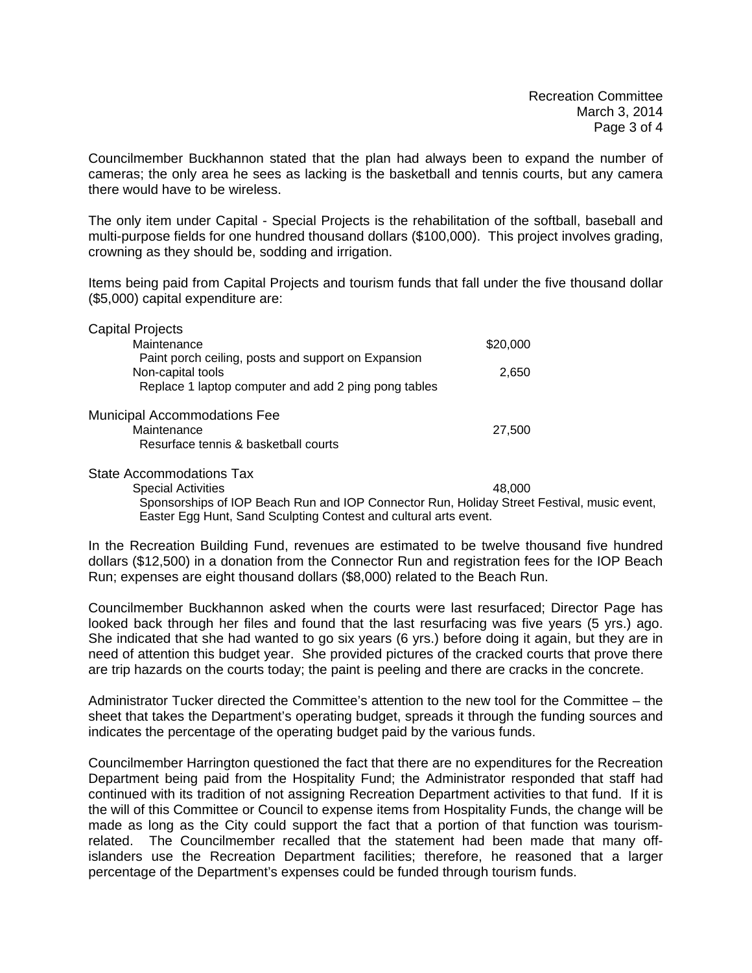Councilmember Buckhannon stated that the plan had always been to expand the number of cameras; the only area he sees as lacking is the basketball and tennis courts, but any camera there would have to be wireless.

The only item under Capital - Special Projects is the rehabilitation of the softball, baseball and multi-purpose fields for one hundred thousand dollars (\$100,000). This project involves grading, crowning as they should be, sodding and irrigation.

Items being paid from Capital Projects and tourism funds that fall under the five thousand dollar (\$5,000) capital expenditure are:

| <b>Capital Projects</b>                              |          |  |
|------------------------------------------------------|----------|--|
| Maintenance                                          | \$20,000 |  |
| Paint porch ceiling, posts and support on Expansion  |          |  |
| Non-capital tools                                    | 2.650    |  |
| Replace 1 laptop computer and add 2 ping pong tables |          |  |
|                                                      |          |  |
| <b>Municipal Accommodations Fee</b>                  |          |  |
| Maintenance                                          | 27,500   |  |
| Resurface tennis & basketball courts                 |          |  |
|                                                      |          |  |

State Accommodations Tax

Special Activities 48,000 Sponsorships of IOP Beach Run and IOP Connector Run, Holiday Street Festival, music event, Easter Egg Hunt, Sand Sculpting Contest and cultural arts event.

In the Recreation Building Fund, revenues are estimated to be twelve thousand five hundred dollars (\$12,500) in a donation from the Connector Run and registration fees for the IOP Beach Run; expenses are eight thousand dollars (\$8,000) related to the Beach Run.

Councilmember Buckhannon asked when the courts were last resurfaced; Director Page has looked back through her files and found that the last resurfacing was five years (5 yrs.) ago. She indicated that she had wanted to go six years (6 yrs.) before doing it again, but they are in need of attention this budget year. She provided pictures of the cracked courts that prove there are trip hazards on the courts today; the paint is peeling and there are cracks in the concrete.

Administrator Tucker directed the Committee's attention to the new tool for the Committee – the sheet that takes the Department's operating budget, spreads it through the funding sources and indicates the percentage of the operating budget paid by the various funds.

Councilmember Harrington questioned the fact that there are no expenditures for the Recreation Department being paid from the Hospitality Fund; the Administrator responded that staff had continued with its tradition of not assigning Recreation Department activities to that fund. If it is the will of this Committee or Council to expense items from Hospitality Funds, the change will be made as long as the City could support the fact that a portion of that function was tourismrelated. The Councilmember recalled that the statement had been made that many offislanders use the Recreation Department facilities; therefore, he reasoned that a larger percentage of the Department's expenses could be funded through tourism funds.